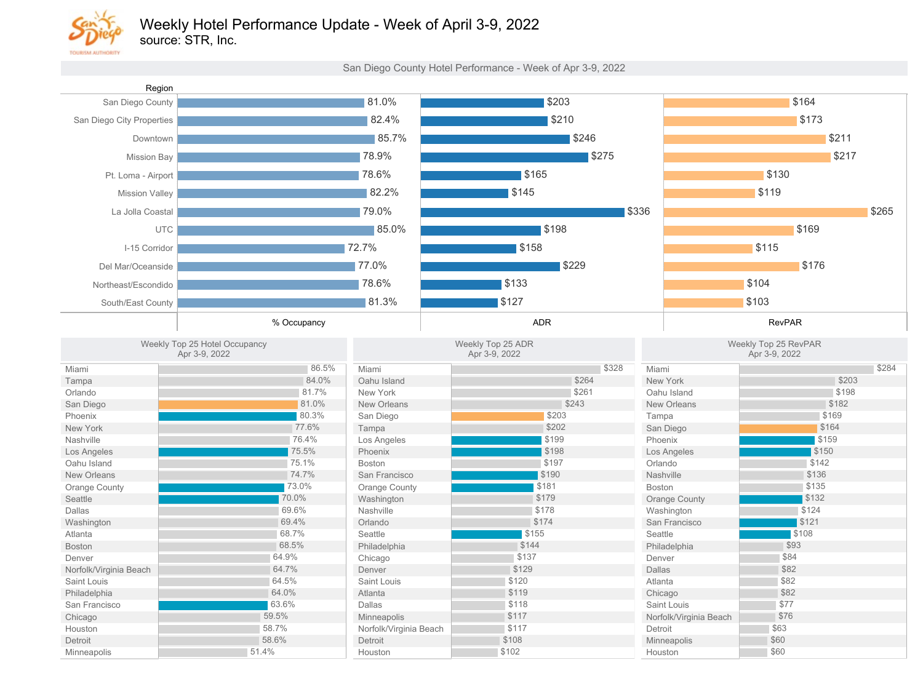

source: STR, Inc.

San Diego County Hotel Performance - Week of Apr 3-9, 2022

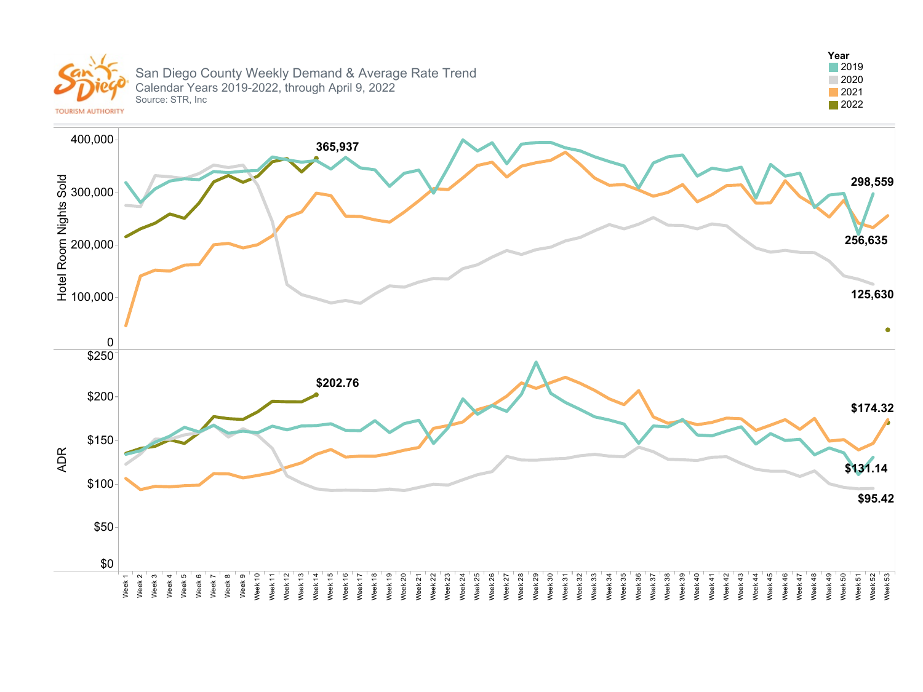

San Diego County Weekly Demand & Average Rate Trend Calendar Years 2019-2022, through April 9, 2022 Source: STR, Inc



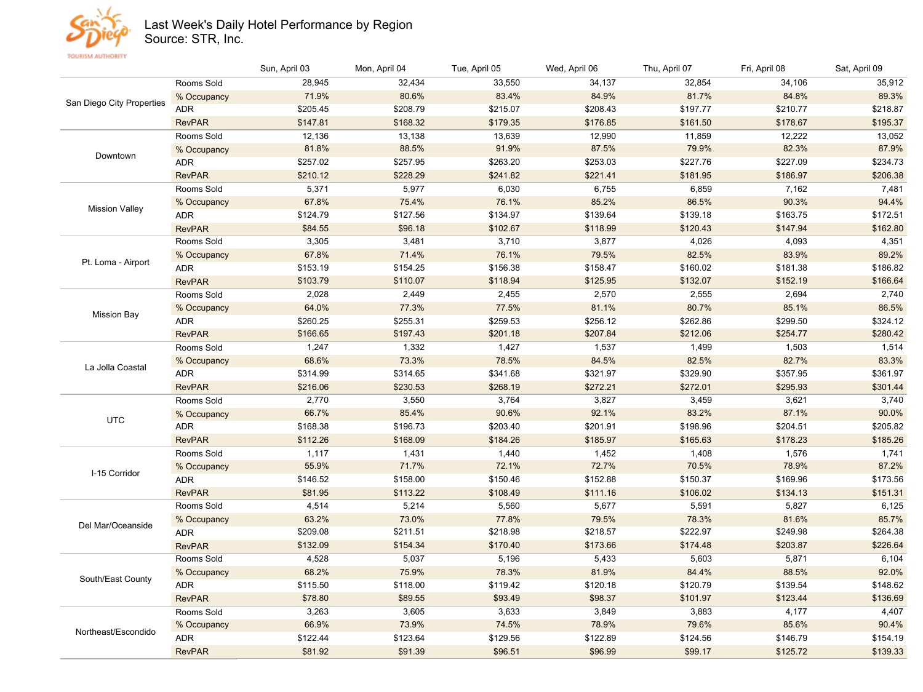

## Last Week's Daily Hotel Performance by Region

Source: STR, Inc.

RevPAR

Sun,April03 Mon,April04 Tue,April05 Wed,April06 Thu,April07 Fri,April08 Sat,April09 San Diego City Properties Rooms Sold % Occupancy ADR RevPAR Downtown Rooms Sold %Occupancy ADR RevPAR **Mission Valley** Rooms Sold %Occupancy ADR RevPAR Pt. Loma - Airport Rooms Sold %Occupancy ADR RevPAR **Mission Bay** Rooms Sold % Occupancy ADR RevPAR La Jolla Coastal Rooms Sold % Occupancy ADR RevPAR UTC Rooms Sold % Occupancy ADR RevPAR I-15Corridor Rooms Sold % Occupancy ADR RevPAR Del Mar/Oceanside Rooms Sold %Occupancy ADR RevPAR South/East County Rooms Sold %Occupancy ADR RevPAR Northeast/Escondido Rooms Sold %Occupancy ADR \$195.37 \$218.87 89.3% 35,912 \$178.67 \$210.77 84.8% 34,106 \$161.50 \$197.77 81.7% 32,854 \$176.85 \$208.43 84.9% 34,137 \$179.35 \$215.07 83.4% 33,550 \$168.32 \$208.79 80.6% 32,434 \$147.81 \$205.45 71.9% 28,945 \$206.38 \$234.73 87.9% 13,052 \$186.97 \$227.09 82.3% 12,222 \$181.95 \$227.76 79.9% 11,859 \$221.41 \$253.03 87.5% 12,990 \$241.82 \$263.20 91.9% 13,639 \$228.29 \$257.95 88.5% 13,138 \$210.12 \$257.02 81.8% 12,136 \$162.80 \$172.51 94.4% 7,481 \$147.94 \$163.75 90.3% 7,162 \$120.43 \$139.18 86.5% 6,859 \$118.99 \$139.64 85.2% 6,755 \$102.67 \$134.97 76.1% 6,030 \$96.18 \$127.56 75.4% 5,977 \$84.55 \$124.79 67.8% 5,371 \$166.64 \$186.82 89.2% 4,351 \$152.19 \$181.38 83.9% 4,093 \$132.07 \$160.02 82.5% 4,026 \$125.95 \$158.47 79.5% 3,877 \$118.94 \$156.38 76.1% 3,710 \$110.07 \$154.25 71.4% 3,481 \$103.79 \$153.19 67.8% 3,305 \$280.42 \$324.12 86.5% 2,740 \$254.77 \$299.50 85.1% 2,694 \$212.06 \$262.86 80.7% 2,555 \$207.84 \$256.12 81.1% 2,570 \$201.18 \$259.53 77.5% 2,455 \$197.43 \$255.31 77.3% 2,449 \$166.65 \$260.25 64.0% 2,028 \$301.44 \$361.97 83.3% 1,514 \$295.93 \$357.95 82.7% 1,503 \$272.01 \$329.90 82.5% 1,499 \$272.21 \$321.97 84.5% 1,537 \$268.19 \$341.68 78.5% 1,427 \$230.53 \$314.65 73.3% 1,332 \$216.06 \$314.99 68.6% 1,247 \$185.26 \$205.82 90.0% 3,740 \$178.23 \$204.51 87.1% 3,621 \$165.63 \$198.96 83.2% 3,459 \$185.97 \$201.91 92.1% 3,827 \$184.26 \$203.40 90.6% 3,764 \$168.09 \$196.73 85.4% 3,550 \$112.26 \$168.38 66.7% 2,770 \$151.31 \$173.56 87.2% 1,741 \$134.13 \$169.96 78.9% 1,576 \$106.02 \$150.37 70.5% 1,408 \$111.16 \$152.88 72.7% 1,452 \$108.49 \$150.46 72.1% 1,440 \$113.22 \$158.00 71.7% 1,431 \$81.95 \$146.52 55.9% 1,117 \$226.64 \$264.38 85.7% 6,125 \$203.87 \$249.98 81.6% 5,827 \$174.48 \$222.97 78.3% 5,591 \$173.66 \$218.57 79.5% 5,677 \$170.40 \$218.98 77.8% 5,560 \$154.34 \$211.51 73.0% 5,214 \$132.09 \$209.08 63.2% 4,514 \$136.69 \$148.62 92.0% 6,104 \$123.44 \$139.54 88.5% 5,871 \$101.97 \$120.79 84.4% 5,603 \$98.37 \$120.18 81.9% 5,433 \$93.49 \$119.42 78.3% 5,196 \$89.55 \$118.00 75.9% 5,037 \$78.80 \$115.50 68.2% 4,528 \$154.19 90.4% 4,407 \$146.79 85.6% 4,177 \$124.56 79.6% 3,883 \$122.89 78.9% 3,849 \$129.56 74.5% 3,633 \$123.64 73.9% 3,605 \$122.44 66.9% 3,263

\$96.51

\$91.39

\$81.92

\$139.33

\$125.72

\$99.17

\$96.99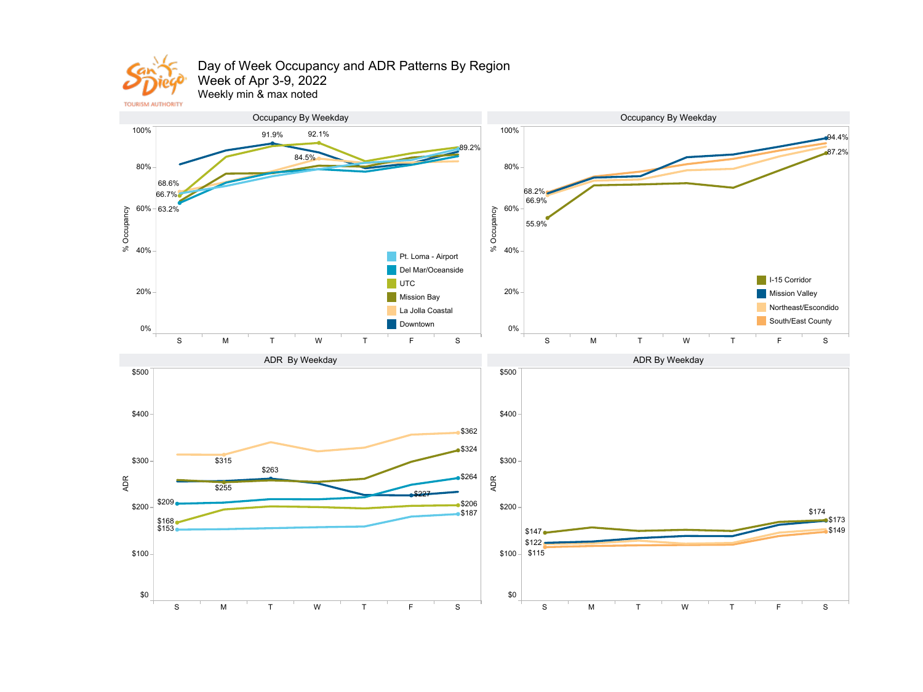

## Day of Week Occupancy and ADR Patterns By Region Week of Apr 3-9, 2022

Weekly min & max noted